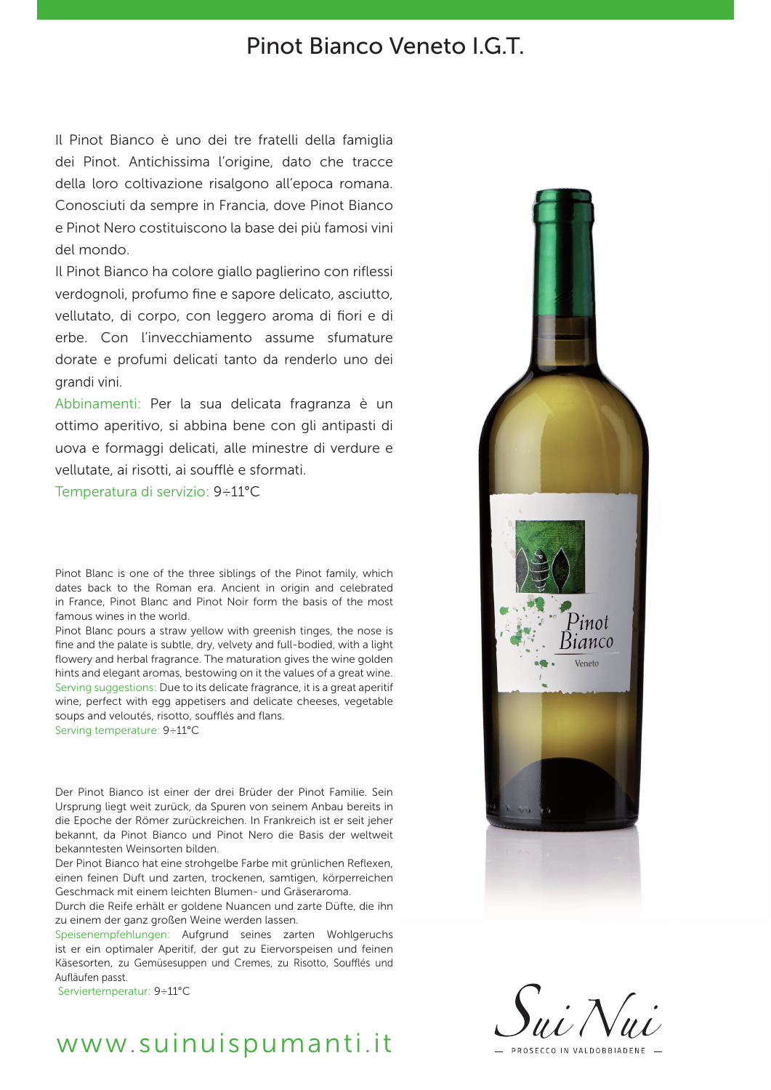## Pinot Bianco Veneto I.G.T.

Il Pinot Bianco è uno dei tre fratelli della famiglia dei Pinot. Antichissima l'origine, dato che tracce della loro coltivazione risalgono all'epoca romana. Conosciuti da sempre in Francia, dove Pinot Bianco e Pinot Nero costituiscono la base dei più famosi vini del mondo.

Il Pinot Bianco ha colore giallo paglierino con riflessi verdognoli, profumo fine e sapore delicato, asciutto, vellutato, di corpo, con leggero aroma di fiori e di erbe. Con l'invecchiamento assume sfumature dorate e profumi delicati tanto da renderlo uno dei grandi vini.

Abbinamenti: Per la sua delicata fragranza è un ottimo aperitivo, si abbina bene con gli antipasti di uova e formaggi delicati, alle minestre di verdure e vellutate, ai risotti, ai soufflè e sformati.

Temperatura di servizio: 9÷11°C

Pinot Blanc is one of the three siblings of the Pinot family, which dates back to the Roman era. Ancient in origin and celebrated in France, Pinot Blanc and Pinot Noir form the basis of the most famous wines in the world.

Pinot Blanc pours a straw yellow with greenish tinges, the nose is fine and the palate is subtle, dry, velvety and full-bodied, with a light flowery and herbal fragrance. The maturation gives the wine golden hints and elegant aromas, bestowing on it the values of a great wine. Serving suggestions: Due to its delicate fragrance, it is a great aperitif wine, perfect with egg appetisers and delicate cheeses, vegetable soups and veloutés, risotto, soufflés and flans. Serving temperature: 9÷11°C

Der Pinot Bianco ist einer der drei Brüder der Pinot Familie. Sein Ursprung liegt weit zurück, da Spuren von seinem Anbau bereits in die Epoche der Römer zurückreichen. In Frankreich ist er seit jeher bekannt, da Pinot Bianco und Pinot Nero die Basis der weltweit bekanntesten Weinsorten bilden.

Der Pinot Bianco hat eine strohgelbe Farbe mit grünlichen Reflexen, einen feinen Duft und zarten, trockenen, samtigen, körperreichen Geschmack mit einem leichten Blumen- und Gräseraroma.

Durch die Reife erhält er goldene Nuancen und zarte Düfte, die ihn zu einem der ganz großen Weine werden lassen.

Speisenempfehlungen: Aufgrund seines zarten Wohlgeruchs ist er ein optimaler Aperitif, der gut zu Eiervorspeisen und feinen Käsesorten, zu Gemüsesuppen und Cremes, zu Risotto, Soufflés und Aufläufen passt.

Serviertemperatur: 9÷11°C

# www.suinuispumanti.it